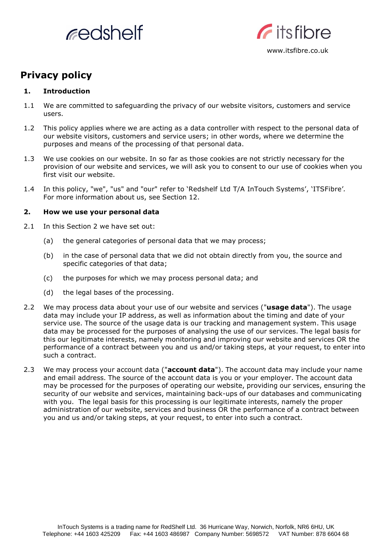



# **Privacy policy**

## **1. Introduction**

- 1.1 We are committed to safeguarding the privacy of our website visitors, customers and service users.
- 1.2 This policy applies where we are acting as a data controller with respect to the personal data of our website visitors, customers and service users; in other words, where we determine the purposes and means of the processing of that personal data.
- 1.3 We use cookies on our website. In so far as those cookies are not strictly necessary for the provision of our website and services, we will ask you to consent to our use of cookies when you first visit our website.
- 1.4 In this policy, "we", "us" and "our" refer to 'Redshelf Ltd T/A InTouch Systems', 'ITSFibre'*.* For more information about us, see Section 12.

## **2. How we use your personal data**

- 2.1 In this Section 2 we have set out:
	- (a) the general categories of personal data that we may process;
	- (b) in the case of personal data that we did not obtain directly from you, the source and specific categories of that data;
	- (c) the purposes for which we may process personal data; and
	- (d) the legal bases of the processing.
- 2.2 We may process data about your use of our website and services ("**usage data**"). The usage data may include your IP address, as well as information about the timing and date of your service use. The source of the usage data is our tracking and management system. This usage data may be processed for the purposes of analysing the use of our services. The legal basis for this our legitimate interests, namely monitoring and improving our website and services OR the performance of a contract between you and us and/or taking steps, at your request, to enter into such a contract.
- 2.3 We may process your account data ("**account data**"). The account data may include your name and email address. The source of the account data is you or your employer. The account data may be processed for the purposes of operating our website, providing our services, ensuring the security of our website and services, maintaining back-ups of our databases and communicating with you. The legal basis for this processing is our legitimate interests, namely the proper administration of our website, services and business OR the performance of a contract between you and us and/or taking steps, at your request, to enter into such a contract.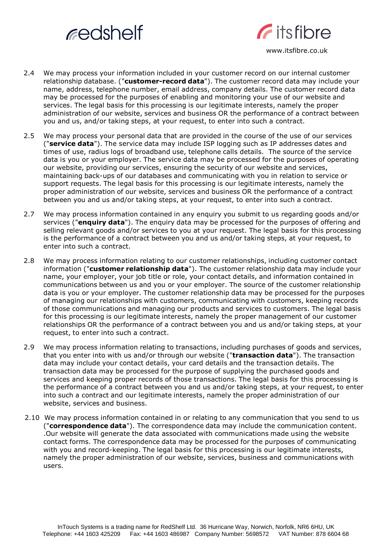



www.itsfibre.co.uk

- 2.4 We may process your information included in your customer record on our internal customer relationship database. ("**customer-record data**"). The customer record data may include your name, address, telephone number, email address, company details. The customer record data may be processed for the purposes of enabling and monitoring your use of our website and services. The legal basis for this processing is our legitimate interests, namely the proper administration of our website, services and business OR the performance of a contract between you and us, and/or taking steps, at your request, to enter into such a contract.
- 2.5 We may process your personal data that are provided in the course of the use of our services ("**service data**"). The service data may include ISP logging such as IP addresses dates and times of use, radius logs of broadband use, telephone calls details. The source of the service data is you or your employer. The service data may be processed for the purposes of operating our website, providing our services, ensuring the security of our website and services, maintaining back-ups of our databases and communicating with you in relation to service or support requests. The legal basis for this processing is our legitimate interests, namely the proper administration of our website, services and business OR the performance of a contract between you and us and/or taking steps, at your request, to enter into such a contract.
- 2.7 We may process information contained in any enquiry you submit to us regarding goods and/or services ("**enquiry data**"). The enquiry data may be processed for the purposes of offering and selling relevant goods and/or services to you at your request. The legal basis for this processing is the performance of a contract between you and us and/or taking steps, at your request, to enter into such a contract.
- 2.8 We may process information relating to our customer relationships, including customer contact information ("**customer relationship data**"). The customer relationship data may include your name, your employer, your job title or role, your contact details, and information contained in communications between us and you or your employer. The source of the customer relationship data is you or your employer. The customer relationship data may be processed for the purposes of managing our relationships with customers, communicating with customers, keeping records of those communications and managing our products and services to customers. The legal basis for this processing is our legitimate interests, namely the proper management of our customer relationships OR the performance of a contract between you and us and/or taking steps, at your request, to enter into such a contract.
- 2.9 We may process information relating to transactions, including purchases of goods and services, that you enter into with us and/or through our website ("**transaction data**"). The transaction data may include your contact details, your card details and the transaction details. The transaction data may be processed for the purpose of supplying the purchased goods and services and keeping proper records of those transactions. The legal basis for this processing is the performance of a contract between you and us and/or taking steps, at your request, to enter into such a contract and our legitimate interests, namely the proper administration of our website, services and business.
- 2.10 We may process information contained in or relating to any communication that you send to us ("**correspondence data**"). The correspondence data may include the communication content. .Our website will generate the data associated with communications made using the website contact forms. The correspondence data may be processed for the purposes of communicating with you and record-keeping. The legal basis for this processing is our legitimate interests, namely the proper administration of our website, services, business and communications with users.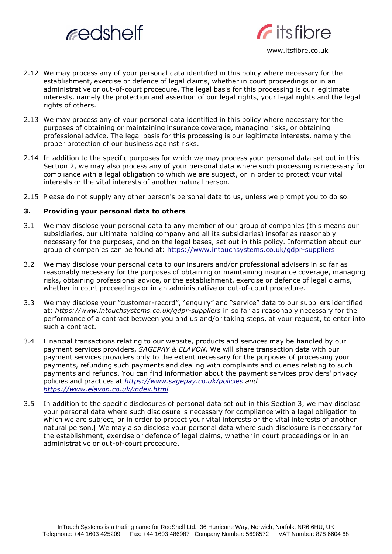



- 2.12 We may process any of your personal data identified in this policy where necessary for the establishment, exercise or defence of legal claims, whether in court proceedings or in an administrative or out-of-court procedure. The legal basis for this processing is our legitimate interests, namely the protection and assertion of our legal rights, your legal rights and the legal rights of others.
- 2.13 We may process any of your personal data identified in this policy where necessary for the purposes of obtaining or maintaining insurance coverage, managing risks, or obtaining professional advice. The legal basis for this processing is our legitimate interests, namely the proper protection of our business against risks.
- 2.14 In addition to the specific purposes for which we may process your personal data set out in this Section 2, we may also process any of your personal data where such processing is necessary for compliance with a legal obligation to which we are subject, or in order to protect your vital interests or the vital interests of another natural person.
- 2.15 Please do not supply any other person's personal data to us, unless we prompt you to do so.

## **3. Providing your personal data to others**

- 3.1 We may disclose your personal data to any member of our group of companies (this means our subsidiaries, our ultimate holding company and all its subsidiaries) insofar as reasonably necessary for the purposes, and on the legal bases, set out in this policy. Information about our group of companies can be found at: <https://www.intouchsystems.co.uk/gdpr-suppliers>
- 3.2 We may disclose your personal data to our insurers and/or professional advisers in so far as reasonably necessary for the purposes of obtaining or maintaining insurance coverage, managing risks, obtaining professional advice, or the establishment, exercise or defence of legal claims, whether in court proceedings or in an administrative or out-of-court procedure.
- 3.3 We may disclose your "customer-record", "enquiry" and "service" data to our suppliers identified at: *https:[//www.intouchsystems.co.uk/gdpr-suppliers](http://www.intouchsystems.co.uk/gdpr-suppliers)* in so far as reasonably necessary for the performance of a contract between you and us and/or taking steps, at your request, to enter into such a contract.
- 3.4 Financial transactions relating to our website, products and services may be handled by our payment services providers, *SAGEPAY & ELAVON.* We will share transaction data with our payment services providers only to the extent necessary for the purposes of processing your payments, refunding such payments and dealing with complaints and queries relating to such payments and refunds. You can find information about the payment services providers' privacy policies and practices at *<https://www.sagepay.co.uk/policies> and <https://www.elavon.co.uk/index.html>*
- 3.5 In addition to the specific disclosures of personal data set out in this Section 3, we may disclose your personal data where such disclosure is necessary for compliance with a legal obligation to which we are subject, or in order to protect your vital interests or the vital interests of another natural person.[ We may also disclose your personal data where such disclosure is necessary for the establishment, exercise or defence of legal claims, whether in court proceedings or in an administrative or out-of-court procedure.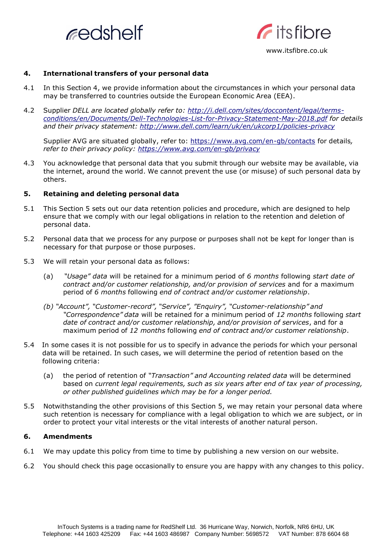



## www.itsfibre.co.uk

#### **4. International transfers of your personal data**

- 4.1 In this Section 4, we provide information about the circumstances in which your personal data may be transferred to countries outside the European Economic Area (EEA).
- 4.2 Supplier *DELL are located globally refer to: [http://i.dell.com/sites/doccontent/legal/terms](http://i.dell.com/sites/doccontent/legal/terms-conditions/en/Documents/Dell-Technologies-List-for-Privacy-Statement-May-2018.pdf)[conditions/en/Documents/Dell-Technologies-List-for-Privacy-Statement-May-2018.pdf](http://i.dell.com/sites/doccontent/legal/terms-conditions/en/Documents/Dell-Technologies-List-for-Privacy-Statement-May-2018.pdf) for details and their privacy statement: <http://www.dell.com/learn/uk/en/ukcorp1/policies-privacy>*

Supplier AVG are situated globally, refer to: <https://www.avg.com/en-gb/contacts> for details*, refer to their privacy policy: <https://www.avg.com/en-gb/privacy>*

4.3 You acknowledge that personal data that you submit through our website may be available, via the internet, around the world. We cannot prevent the use (or misuse) of such personal data by others.

#### **5. Retaining and deleting personal data**

- 5.1 This Section 5 sets out our data retention policies and procedure, which are designed to help ensure that we comply with our legal obligations in relation to the retention and deletion of personal data.
- 5.2 Personal data that we process for any purpose or purposes shall not be kept for longer than is necessary for that purpose or those purposes.
- 5.3 We will retain your personal data as follows:
	- (a) *"Usage" data* will be retained for a minimum period of *6 months* following *start date of contract and/or customer relationship, and/or provision of services* and for a maximum period of *6 months* following *end of contract and/or customer relationship*.
	- *(b) "Account", "Customer-record", "Service", "Enquiry", "Customer-relationship" and "Correspondence" data* will be retained for a minimum period of *12 months* following *start date of contract and/or customer relationship, and/or provision of services*, and for a maximum period of *12 months* following *end of contract and/or customer relationship*.
- 5.4 In some cases it is not possible for us to specify in advance the periods for which your personal data will be retained. In such cases, we will determine the period of retention based on the following criteria:
	- (a) the period of retention of *"Transaction" and Accounting related data* will be determined based on *current legal requirements, such as six years after end of tax year of processing, or other published guidelines which may be for a longer period.*
- 5.5 Notwithstanding the other provisions of this Section 5, we may retain your personal data where such retention is necessary for compliance with a legal obligation to which we are subject, or in order to protect your vital interests or the vital interests of another natural person.

## **6. Amendments**

- 6.1 We may update this policy from time to time by publishing a new version on our website.
- 6.2 You should check this page occasionally to ensure you are happy with any changes to this policy.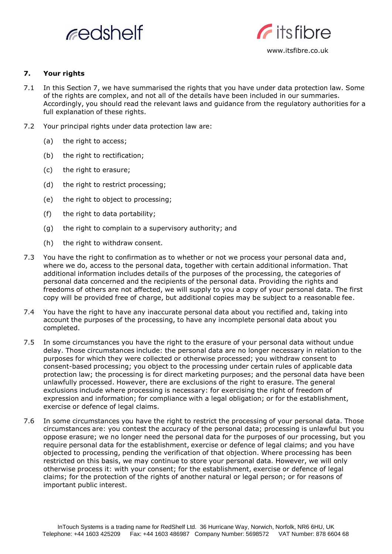



## **7. Your rights**

- 7.1 In this Section 7, we have summarised the rights that you have under data protection law. Some of the rights are complex, and not all of the details have been included in our summaries. Accordingly, you should read the relevant laws and guidance from the regulatory authorities for a full explanation of these rights.
- 7.2 Your principal rights under data protection law are:
	- (a) the right to access;
	- (b) the right to rectification;
	- (c) the right to erasure;
	- (d) the right to restrict processing;
	- (e) the right to object to processing;
	- (f) the right to data portability;
	- (g) the right to complain to a supervisory authority; and
	- (h) the right to withdraw consent.
- 7.3 You have the right to confirmation as to whether or not we process your personal data and, where we do, access to the personal data, together with certain additional information. That additional information includes details of the purposes of the processing, the categories of personal data concerned and the recipients of the personal data. Providing the rights and freedoms of others are not affected, we will supply to you a copy of your personal data. The first copy will be provided free of charge, but additional copies may be subject to a reasonable fee.
- 7.4 You have the right to have any inaccurate personal data about you rectified and, taking into account the purposes of the processing, to have any incomplete personal data about you completed.
- 7.5 In some circumstances you have the right to the erasure of your personal data without undue delay. Those circumstances include: the personal data are no longer necessary in relation to the purposes for which they were collected or otherwise processed; you withdraw consent to consent-based processing; you object to the processing under certain rules of applicable data protection law; the processing is for direct marketing purposes; and the personal data have been unlawfully processed. However, there are exclusions of the right to erasure. The general exclusions include where processing is necessary: for exercising the right of freedom of expression and information; for compliance with a legal obligation; or for the establishment, exercise or defence of legal claims.
- 7.6 In some circumstances you have the right to restrict the processing of your personal data. Those circumstances are: you contest the accuracy of the personal data; processing is unlawful but you oppose erasure; we no longer need the personal data for the purposes of our processing, but you require personal data for the establishment, exercise or defence of legal claims; and you have objected to processing, pending the verification of that objection. Where processing has been restricted on this basis, we may continue to store your personal data. However, we will only otherwise process it: with your consent; for the establishment, exercise or defence of legal claims; for the protection of the rights of another natural or legal person; or for reasons of important public interest.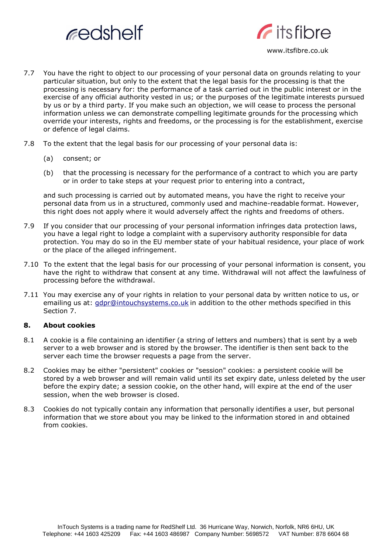



- 7.7 You have the right to object to our processing of your personal data on grounds relating to your particular situation, but only to the extent that the legal basis for the processing is that the processing is necessary for: the performance of a task carried out in the public interest or in the exercise of any official authority vested in us; or the purposes of the legitimate interests pursued by us or by a third party. If you make such an objection, we will cease to process the personal information unless we can demonstrate compelling legitimate grounds for the processing which override your interests, rights and freedoms, or the processing is for the establishment, exercise or defence of legal claims.
- 7.8 To the extent that the legal basis for our processing of your personal data is:
	- (a) consent; or
	- (b) that the processing is necessary for the performance of a contract to which you are party or in order to take steps at your request prior to entering into a contract,

and such processing is carried out by automated means, you have the right to receive your personal data from us in a structured, commonly used and machine-readable format. However, this right does not apply where it would adversely affect the rights and freedoms of others.

- 7.9 If you consider that our processing of your personal information infringes data protection laws, you have a legal right to lodge a complaint with a supervisory authority responsible for data protection. You may do so in the EU member state of your habitual residence, your place of work or the place of the alleged infringement.
- 7.10 To the extent that the legal basis for our processing of your personal information is consent, you have the right to withdraw that consent at any time. Withdrawal will not affect the lawfulness of processing before the withdrawal.
- 7.11 You may exercise any of your rights in relation to your personal data by written notice to us, or emailing us at: [gdpr@intouchsystems.co.uk](mailto:gdpr@intouchsystems.co.uk) in addition to the other methods specified in this Section 7.

## **8. About cookies**

- 8.1 A cookie is a file containing an identifier (a string of letters and numbers) that is sent by a web server to a web browser and is stored by the browser. The identifier is then sent back to the server each time the browser requests a page from the server.
- 8.2 Cookies may be either "persistent" cookies or "session" cookies: a persistent cookie will be stored by a web browser and will remain valid until its set expiry date, unless deleted by the user before the expiry date; a session cookie, on the other hand, will expire at the end of the user session, when the web browser is closed.
- 8.3 Cookies do not typically contain any information that personally identifies a user, but personal information that we store about you may be linked to the information stored in and obtained from cookies.